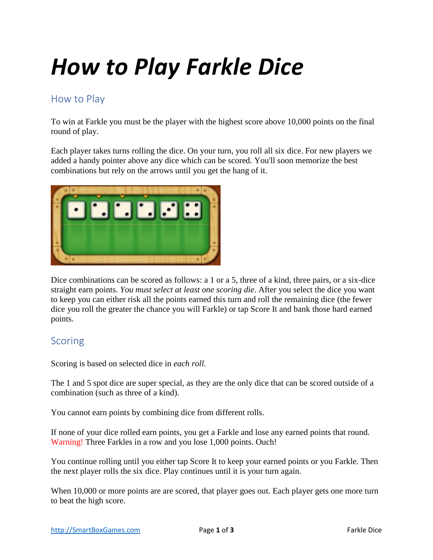# *How to Play Farkle Dice*

#### How to Play

To win at Farkle you must be the player with the highest score above 10,000 points on the final round of play.

Each player takes turns rolling the dice. On your turn, you roll all six dice. For new players we added a handy pointer above any dice which can be scored. You'll soon memorize the best combinations but rely on the arrows until you get the hang of it.



Dice combinations can be scored as follows: a 1 or a 5, three of a kind, three pairs, or a six-dice straight earn points. *You must select at least one scoring die*. After you select the dice you want to keep you can either risk all the points earned this turn and roll the remaining dice (the fewer dice you roll the greater the chance you will Farkle) or tap Score It and bank those hard earned points.

### Scoring

Scoring is based on selected dice in *each roll*.

The 1 and 5 spot dice are super special, as they are the only dice that can be scored outside of a combination (such as three of a kind).

You cannot earn points by combining dice from different rolls.

If none of your dice rolled earn points, you get a Farkle and lose any earned points that round. Warning! Three Farkles in a row and you lose 1,000 points. Ouch!

You continue rolling until you either tap Score It to keep your earned points or you Farkle. Then the next player rolls the six dice. Play continues until it is your turn again.

When 10,000 or more points are are scored, that player goes out. Each player gets one more turn to beat the high score.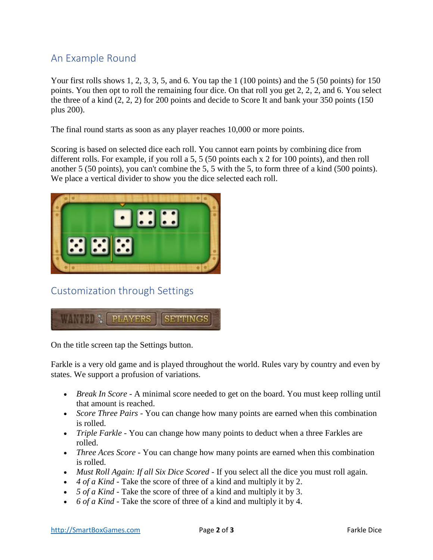## An Example Round

Your first rolls shows 1, 2, 3, 3, 5, and 6. You tap the 1 (100 points) and the 5 (50 points) for 150 points. You then opt to roll the remaining four dice. On that roll you get 2, 2, 2, and 6. You select the three of a kind (2, 2, 2) for 200 points and decide to Score It and bank your 350 points (150 plus 200).

The final round starts as soon as any player reaches 10,000 or more points.

Scoring is based on selected dice each roll. You cannot earn points by combining dice from different rolls. For example, if you roll a 5, 5 (50 points each x 2 for 100 points), and then roll another 5 (50 points), you can't combine the 5, 5 with the 5, to form three of a kind (500 points). We place a vertical divider to show you the dice selected each roll.



Customization through Settings



On the title screen tap the Settings button.

Farkle is a very old game and is played throughout the world. Rules vary by country and even by states. We support a profusion of variations.

- *Break In Score* A minimal score needed to get on the board. You must keep rolling until that amount is reached.
- *Score Three Pairs* You can change how many points are earned when this combination is rolled.
- *Triple Farkle* You can change how many points to deduct when a three Farkles are rolled.
- *Three Aces Score* You can change how many points are earned when this combination is rolled.
- *Must Roll Again: If all Six Dice Scored* If you select all the dice you must roll again.
- *4 of a Kind* Take the score of three of a kind and multiply it by 2.
- *5 of a Kind* Take the score of three of a kind and multiply it by 3.
- *6 of a Kind* Take the score of three of a kind and multiply it by 4.